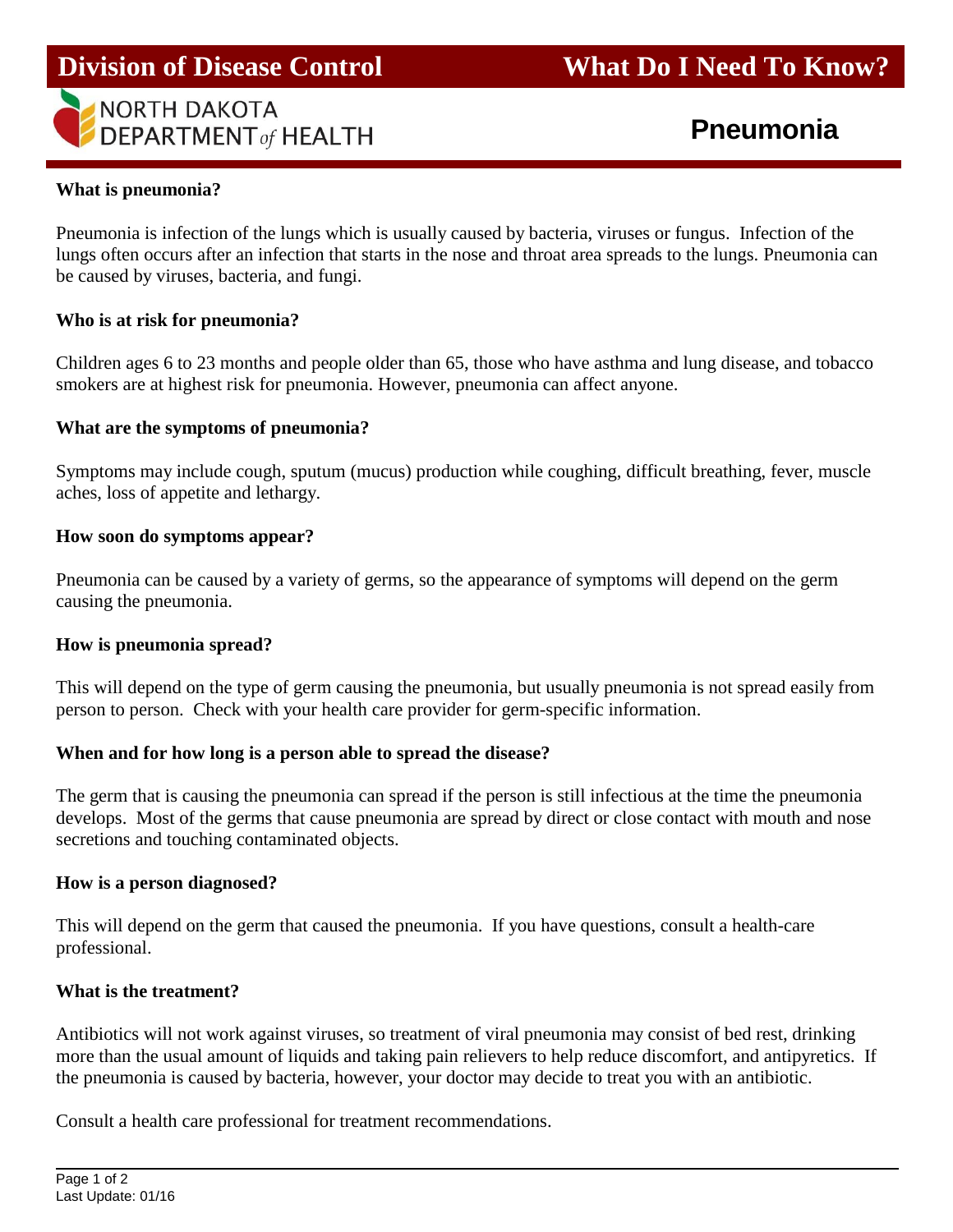## **Division of Disease Control What Do I Need To Know?**



# **Pneumonia**

#### **What is pneumonia?**

Pneumonia is infection of the lungs which is usually caused by bacteria, viruses or fungus. Infection of the lungs often occurs after an infection that starts in the nose and throat area spreads to the lungs. Pneumonia can be caused by viruses, bacteria, and fungi.

#### **Who is at risk for pneumonia?**

Children ages 6 to 23 months and people older than 65, those who have asthma and lung disease, and tobacco smokers are at highest risk for pneumonia. However, pneumonia can affect anyone.

#### **What are the symptoms of pneumonia?**

Symptoms may include cough, sputum (mucus) production while coughing, difficult breathing, fever, muscle aches, loss of appetite and lethargy.

#### **How soon do symptoms appear?**

Pneumonia can be caused by a variety of germs, so the appearance of symptoms will depend on the germ causing the pneumonia.

#### **How is pneumonia spread?**

This will depend on the type of germ causing the pneumonia, but usually pneumonia is not spread easily from person to person. Check with your health care provider for germ-specific information.

#### **When and for how long is a person able to spread the disease?**

The germ that is causing the pneumonia can spread if the person is still infectious at the time the pneumonia develops. Most of the germs that cause pneumonia are spread by direct or close contact with mouth and nose secretions and touching contaminated objects.

#### **How is a person diagnosed?**

This will depend on the germ that caused the pneumonia. If you have questions, consult a health-care professional.

## **What is the treatment?**

Antibiotics will not work against viruses, so treatment of viral pneumonia may consist of bed rest, drinking more than the usual amount of liquids and taking pain relievers to help reduce discomfort, and antipyretics. If the pneumonia is caused by bacteria, however, your doctor may decide to treat you with an antibiotic.

Consult a health care professional for treatment recommendations.